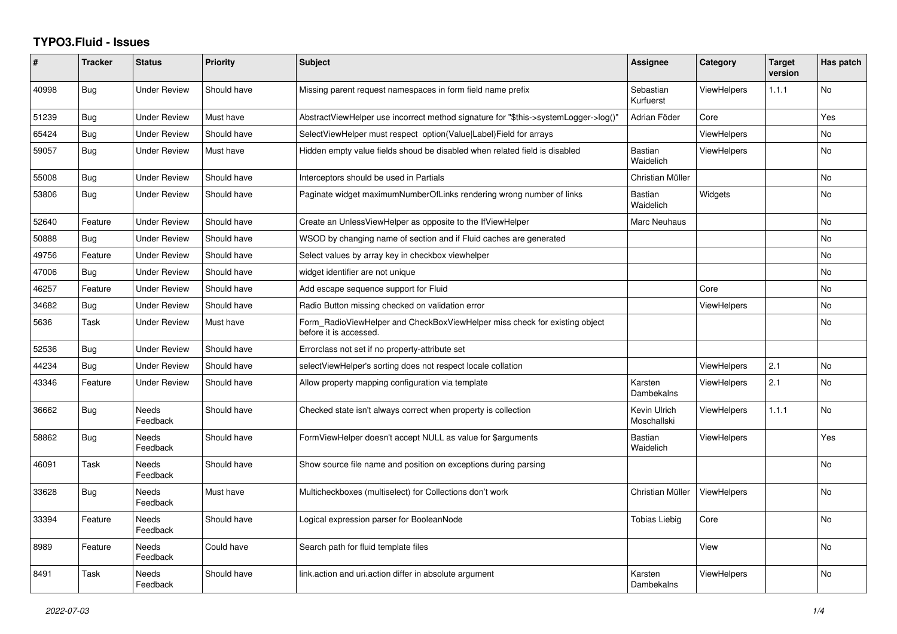## **TYPO3.Fluid - Issues**

| ∦     | <b>Tracker</b> | <b>Status</b>            | <b>Priority</b> | <b>Subject</b>                                                                                       | <b>Assignee</b>             | Category           | <b>Target</b><br>version | Has patch      |
|-------|----------------|--------------------------|-----------------|------------------------------------------------------------------------------------------------------|-----------------------------|--------------------|--------------------------|----------------|
| 40998 | Bug            | <b>Under Review</b>      | Should have     | Missing parent request namespaces in form field name prefix                                          | Sebastian<br>Kurfuerst      | <b>ViewHelpers</b> | 1.1.1                    | <b>No</b>      |
| 51239 | Bug            | <b>Under Review</b>      | Must have       | AbstractViewHelper use incorrect method signature for "\$this->systemLogger->log()"                  | Adrian Föder                | Core               |                          | Yes            |
| 65424 | Bug            | Under Review             | Should have     | SelectViewHelper must respect option(Value Label)Field for arrays                                    |                             | <b>ViewHelpers</b> |                          | <b>No</b>      |
| 59057 | Bug            | <b>Under Review</b>      | Must have       | Hidden empty value fields shoud be disabled when related field is disabled                           | Bastian<br>Waidelich        | <b>ViewHelpers</b> |                          | No.            |
| 55008 | <b>Bug</b>     | <b>Under Review</b>      | Should have     | Interceptors should be used in Partials                                                              | Christian Müller            |                    |                          | N <sub>o</sub> |
| 53806 | Bug            | Under Review             | Should have     | Paginate widget maximumNumberOfLinks rendering wrong number of links                                 | <b>Bastian</b><br>Waidelich | Widgets            |                          | No             |
| 52640 | Feature        | <b>Under Review</b>      | Should have     | Create an UnlessViewHelper as opposite to the IfViewHelper                                           | Marc Neuhaus                |                    |                          | <b>No</b>      |
| 50888 | Bug            | <b>Under Review</b>      | Should have     | WSOD by changing name of section and if Fluid caches are generated                                   |                             |                    |                          | <b>No</b>      |
| 49756 | Feature        | <b>Under Review</b>      | Should have     | Select values by array key in checkbox viewhelper                                                    |                             |                    |                          | <b>No</b>      |
| 47006 | Bug            | <b>Under Review</b>      | Should have     | widget identifier are not unique                                                                     |                             |                    |                          | No             |
| 46257 | Feature        | <b>Under Review</b>      | Should have     | Add escape sequence support for Fluid                                                                |                             | Core               |                          | No             |
| 34682 | Bug            | <b>Under Review</b>      | Should have     | Radio Button missing checked on validation error                                                     |                             | <b>ViewHelpers</b> |                          | <b>No</b>      |
| 5636  | Task           | Under Review             | Must have       | Form RadioViewHelper and CheckBoxViewHelper miss check for existing object<br>before it is accessed. |                             |                    |                          | No             |
| 52536 | Bug            | <b>Under Review</b>      | Should have     | Errorclass not set if no property-attribute set                                                      |                             |                    |                          |                |
| 44234 | Bug            | <b>Under Review</b>      | Should have     | selectViewHelper's sorting does not respect locale collation                                         |                             | ViewHelpers        | 2.1                      | <b>No</b>      |
| 43346 | Feature        | <b>Under Review</b>      | Should have     | Allow property mapping configuration via template                                                    | Karsten<br>Dambekalns       | <b>ViewHelpers</b> | 2.1                      | <b>No</b>      |
| 36662 | <b>Bug</b>     | Needs<br>Feedback        | Should have     | Checked state isn't always correct when property is collection                                       | Kevin Ulrich<br>Moschallski | <b>ViewHelpers</b> | 1.1.1                    | No             |
| 58862 | Bug            | <b>Needs</b><br>Feedback | Should have     | FormViewHelper doesn't accept NULL as value for \$arguments                                          | <b>Bastian</b><br>Waidelich | <b>ViewHelpers</b> |                          | Yes            |
| 46091 | Task           | Needs<br>Feedback        | Should have     | Show source file name and position on exceptions during parsing                                      |                             |                    |                          | <b>No</b>      |
| 33628 | Bug            | <b>Needs</b><br>Feedback | Must have       | Multicheckboxes (multiselect) for Collections don't work                                             | Christian Müller            | <b>ViewHelpers</b> |                          | <b>No</b>      |
| 33394 | Feature        | Needs<br>Feedback        | Should have     | Logical expression parser for BooleanNode                                                            | Tobias Liebig               | Core               |                          | No             |
| 8989  | Feature        | <b>Needs</b><br>Feedback | Could have      | Search path for fluid template files                                                                 |                             | View               |                          | <b>No</b>      |
| 8491  | Task           | Needs<br>Feedback        | Should have     | link.action and uri.action differ in absolute argument                                               | Karsten<br>Dambekalns       | ViewHelpers        |                          | <b>No</b>      |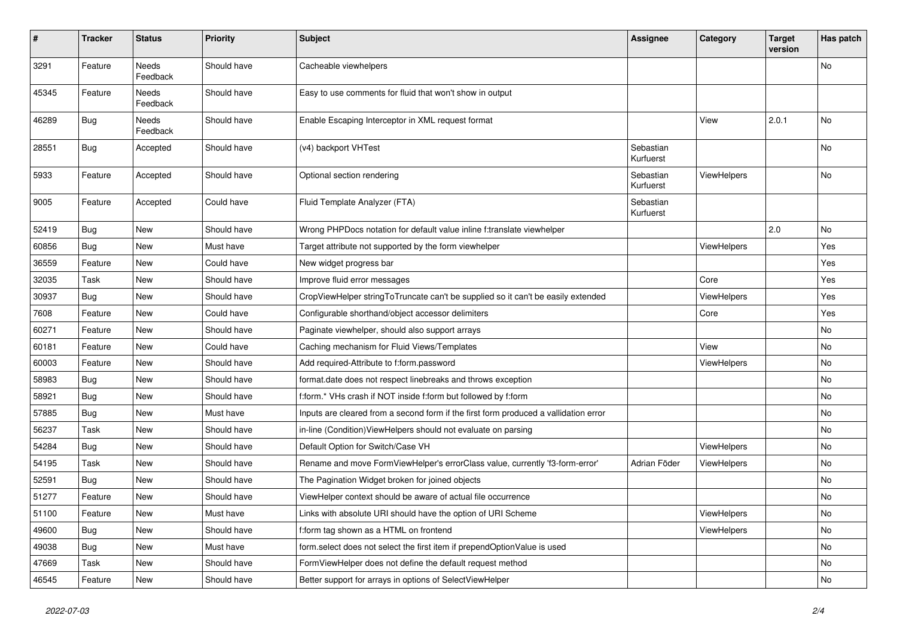| $\pmb{\#}$ | <b>Tracker</b> | <b>Status</b>            | <b>Priority</b> | <b>Subject</b>                                                                       | <b>Assignee</b>        | Category    | <b>Target</b><br>version | Has patch |
|------------|----------------|--------------------------|-----------------|--------------------------------------------------------------------------------------|------------------------|-------------|--------------------------|-----------|
| 3291       | Feature        | <b>Needs</b><br>Feedback | Should have     | Cacheable viewhelpers                                                                |                        |             |                          | No        |
| 45345      | Feature        | Needs<br>Feedback        | Should have     | Easy to use comments for fluid that won't show in output                             |                        |             |                          |           |
| 46289      | <b>Bug</b>     | Needs<br>Feedback        | Should have     | Enable Escaping Interceptor in XML request format                                    |                        | View        | 2.0.1                    | No        |
| 28551      | <b>Bug</b>     | Accepted                 | Should have     | (v4) backport VHTest                                                                 | Sebastian<br>Kurfuerst |             |                          | No        |
| 5933       | Feature        | Accepted                 | Should have     | Optional section rendering                                                           | Sebastian<br>Kurfuerst | ViewHelpers |                          | No        |
| 9005       | Feature        | Accepted                 | Could have      | Fluid Template Analyzer (FTA)                                                        | Sebastian<br>Kurfuerst |             |                          |           |
| 52419      | Bug            | New                      | Should have     | Wrong PHPDocs notation for default value inline f:translate viewhelper               |                        |             | 2.0                      | No.       |
| 60856      | Bug            | New                      | Must have       | Target attribute not supported by the form viewhelper                                |                        | ViewHelpers |                          | Yes       |
| 36559      | Feature        | New                      | Could have      | New widget progress bar                                                              |                        |             |                          | Yes       |
| 32035      | Task           | New                      | Should have     | Improve fluid error messages                                                         |                        | Core        |                          | Yes       |
| 30937      | Bug            | <b>New</b>               | Should have     | CropViewHelper stringToTruncate can't be supplied so it can't be easily extended     |                        | ViewHelpers |                          | Yes       |
| 7608       | Feature        | New                      | Could have      | Configurable shorthand/object accessor delimiters                                    |                        | Core        |                          | Yes       |
| 60271      | Feature        | New                      | Should have     | Paginate viewhelper, should also support arrays                                      |                        |             |                          | No        |
| 60181      | Feature        | New                      | Could have      | Caching mechanism for Fluid Views/Templates                                          |                        | View        |                          | No        |
| 60003      | Feature        | New                      | Should have     | Add required-Attribute to f:form.password                                            |                        | ViewHelpers |                          | No        |
| 58983      | Bug            | New                      | Should have     | format.date does not respect linebreaks and throws exception                         |                        |             |                          | No        |
| 58921      | Bug            | New                      | Should have     | f:form.* VHs crash if NOT inside f:form but followed by f:form                       |                        |             |                          | No        |
| 57885      | Bug            | New                      | Must have       | Inputs are cleared from a second form if the first form produced a vallidation error |                        |             |                          | No        |
| 56237      | Task           | New                      | Should have     | in-line (Condition) ViewHelpers should not evaluate on parsing                       |                        |             |                          | No        |
| 54284      | Bug            | New                      | Should have     | Default Option for Switch/Case VH                                                    |                        | ViewHelpers |                          | No        |
| 54195      | Task           | New                      | Should have     | Rename and move FormViewHelper's errorClass value, currently 'f3-form-error'         | Adrian Föder           | ViewHelpers |                          | No        |
| 52591      | <b>Bug</b>     | New                      | Should have     | The Pagination Widget broken for joined objects                                      |                        |             |                          | No        |
| 51277      | Feature        | New                      | Should have     | ViewHelper context should be aware of actual file occurrence                         |                        |             |                          | No        |
| 51100      | Feature        | New                      | Must have       | Links with absolute URI should have the option of URI Scheme                         |                        | ViewHelpers |                          | No        |
| 49600      | Bug            | New                      | Should have     | f:form tag shown as a HTML on frontend                                               |                        | ViewHelpers |                          | No        |
| 49038      | Bug            | New                      | Must have       | form.select does not select the first item if prependOptionValue is used             |                        |             |                          | No        |
| 47669      | Task           | New                      | Should have     | FormViewHelper does not define the default request method                            |                        |             |                          | No        |
| 46545      | Feature        | New                      | Should have     | Better support for arrays in options of SelectViewHelper                             |                        |             |                          | No        |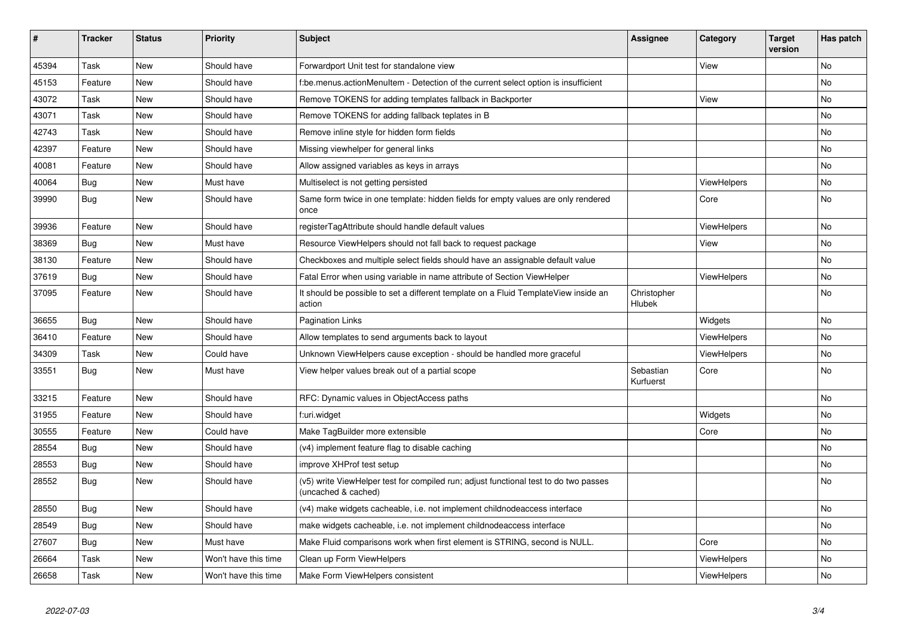| $\vert$ # | <b>Tracker</b> | <b>Status</b> | <b>Priority</b>      | <b>Subject</b>                                                                                              | <b>Assignee</b>              | Category           | <b>Target</b><br>version | Has patch |
|-----------|----------------|---------------|----------------------|-------------------------------------------------------------------------------------------------------------|------------------------------|--------------------|--------------------------|-----------|
| 45394     | Task           | New           | Should have          | Forwardport Unit test for standalone view                                                                   |                              | View               |                          | <b>No</b> |
| 45153     | Feature        | New           | Should have          | be.menus.actionMenuItem - Detection of the current select option is insufficient                            |                              |                    |                          | <b>No</b> |
| 43072     | Task           | New           | Should have          | Remove TOKENS for adding templates fallback in Backporter                                                   |                              | View               |                          | No        |
| 43071     | Task           | New           | Should have          | Remove TOKENS for adding fallback teplates in B                                                             |                              |                    |                          | <b>No</b> |
| 42743     | Task           | New           | Should have          | Remove inline style for hidden form fields                                                                  |                              |                    |                          | <b>No</b> |
| 42397     | Feature        | New           | Should have          | Missing viewhelper for general links                                                                        |                              |                    |                          | <b>No</b> |
| 40081     | Feature        | New           | Should have          | Allow assigned variables as keys in arrays                                                                  |                              |                    |                          | <b>No</b> |
| 40064     | Bug            | New           | Must have            | Multiselect is not getting persisted                                                                        |                              | <b>ViewHelpers</b> |                          | No        |
| 39990     | Bug            | New           | Should have          | Same form twice in one template: hidden fields for empty values are only rendered<br>once                   |                              | Core               |                          | No        |
| 39936     | Feature        | New           | Should have          | registerTagAttribute should handle default values                                                           |                              | <b>ViewHelpers</b> |                          | <b>No</b> |
| 38369     | Bug            | New           | Must have            | Resource ViewHelpers should not fall back to request package                                                |                              | View               |                          | <b>No</b> |
| 38130     | Feature        | New           | Should have          | Checkboxes and multiple select fields should have an assignable default value                               |                              |                    |                          | <b>No</b> |
| 37619     | <b>Bug</b>     | New           | Should have          | Fatal Error when using variable in name attribute of Section ViewHelper                                     |                              | <b>ViewHelpers</b> |                          | <b>No</b> |
| 37095     | Feature        | New           | Should have          | It should be possible to set a different template on a Fluid TemplateView inside an<br>action               | Christopher<br><b>Hlubek</b> |                    |                          | No        |
| 36655     | Bug            | New           | Should have          | <b>Pagination Links</b>                                                                                     |                              | Widgets            |                          | <b>No</b> |
| 36410     | Feature        | New           | Should have          | Allow templates to send arguments back to layout                                                            |                              | ViewHelpers        |                          | <b>No</b> |
| 34309     | Task           | New           | Could have           | Unknown ViewHelpers cause exception - should be handled more graceful                                       |                              | ViewHelpers        |                          | No        |
| 33551     | <b>Bug</b>     | New           | Must have            | View helper values break out of a partial scope                                                             | Sebastian<br>Kurfuerst       | Core               |                          | <b>No</b> |
| 33215     | Feature        | New           | Should have          | RFC: Dynamic values in ObjectAccess paths                                                                   |                              |                    |                          | <b>No</b> |
| 31955     | Feature        | New           | Should have          | f:uri.widget                                                                                                |                              | Widgets            |                          | <b>No</b> |
| 30555     | Feature        | New           | Could have           | Make TagBuilder more extensible                                                                             |                              | Core               |                          | <b>No</b> |
| 28554     | <b>Bug</b>     | New           | Should have          | (v4) implement feature flag to disable caching                                                              |                              |                    |                          | No        |
| 28553     | Bug            | New           | Should have          | improve XHProf test setup                                                                                   |                              |                    |                          | <b>No</b> |
| 28552     | Bug            | New           | Should have          | (v5) write ViewHelper test for compiled run; adjust functional test to do two passes<br>(uncached & cached) |                              |                    |                          | <b>No</b> |
| 28550     | Bug            | New           | Should have          | (v4) make widgets cacheable, i.e. not implement childnodeaccess interface                                   |                              |                    |                          | <b>No</b> |
| 28549     | Bug            | New           | Should have          | make widgets cacheable, i.e. not implement childnodeaccess interface                                        |                              |                    |                          | <b>No</b> |
| 27607     | <b>Bug</b>     | <b>New</b>    | Must have            | Make Fluid comparisons work when first element is STRING, second is NULL.                                   |                              | Core               |                          | No        |
| 26664     | Task           | New           | Won't have this time | Clean up Form ViewHelpers                                                                                   |                              | ViewHelpers        |                          | <b>No</b> |
| 26658     | Task           | New           | Won't have this time | Make Form ViewHelpers consistent                                                                            |                              | ViewHelpers        |                          | No        |